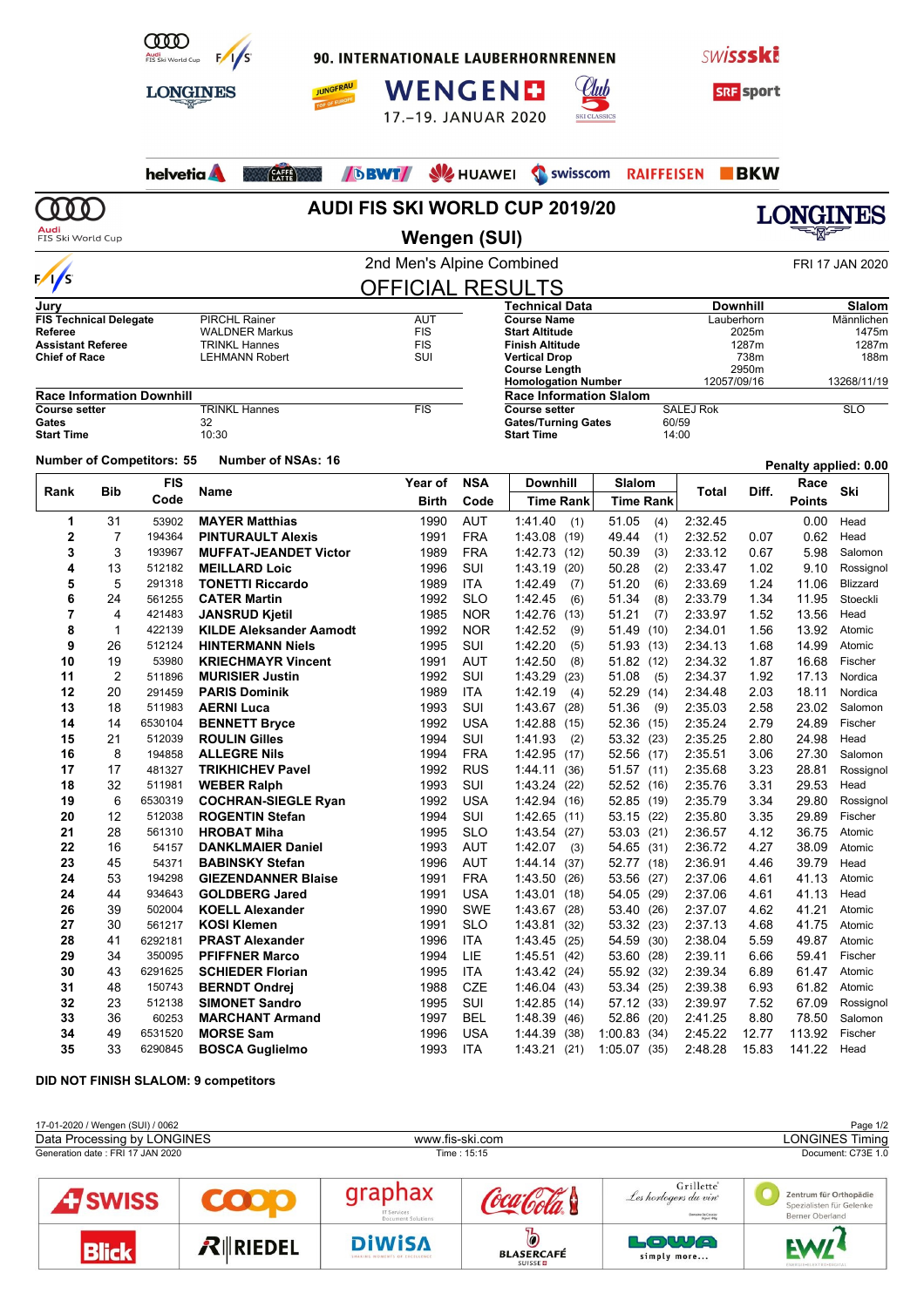

**LONGINES** 

90. INTERNATIONALE LAUBERHORNRENNEN





**35** 33 6290845 **BOSCA Guglielmo** 1993 ITA 1:43.21 (21) 1:05.07 (35) 2:48.28 15.83 141.22 Head



**JUNGFRAU** 



|                                                  |             |                                  | helvetia <b>A</b>                             | <b>DBWT</b>                           | <b>SIZ HUAWEI</b> | <b>SWISSCOM</b>                                    |                             | RAIFFEISEN BKW     |                 |                       |                   |  |  |
|--------------------------------------------------|-------------|----------------------------------|-----------------------------------------------|---------------------------------------|-------------------|----------------------------------------------------|-----------------------------|--------------------|-----------------|-----------------------|-------------------|--|--|
| 000                                              |             |                                  |                                               | <b>AUDI FIS SKI WORLD CUP 2019/20</b> |                   |                                                    |                             |                    |                 |                       | <b>LONGINES</b>   |  |  |
| FIS Ski World Cup                                |             |                                  |                                               | <b>Wengen (SUI)</b>                   |                   |                                                    |                             |                    |                 |                       |                   |  |  |
|                                                  |             |                                  |                                               | 2nd Men's Alpine Combined             |                   |                                                    |                             |                    |                 |                       | FRI 17 JAN 2020   |  |  |
| $\frac{1}{s}$                                    |             |                                  |                                               | <b>OFFICIAL RESULTS</b>               |                   |                                                    |                             |                    |                 |                       |                   |  |  |
| Jury                                             |             |                                  |                                               |                                       |                   | <b>Technical Data</b>                              |                             |                    | <b>Downhill</b> |                       | Slalom            |  |  |
| <b>FIS Technical Delegate</b>                    |             |                                  | <b>PIRCHL Rainer</b>                          | <b>AUT</b>                            |                   | <b>Course Name</b>                                 |                             |                    | Lauberhorn      |                       | Männlichen        |  |  |
| Referee                                          |             |                                  |                                               | <b>FIS</b><br><b>WALDNER Markus</b>   |                   | <b>Start Altitude</b>                              | 2025m                       |                    | 1475m           |                       |                   |  |  |
| <b>Assistant Referee</b><br><b>Chief of Race</b> |             |                                  | <b>TRINKL Hannes</b><br><b>LEHMANN Robert</b> | <b>FIS</b><br>SUI                     |                   | <b>Finish Altitude</b><br><b>Vertical Drop</b>     |                             |                    | 1287m<br>738m   |                       | 1287m<br>188m     |  |  |
|                                                  |             |                                  |                                               |                                       |                   | <b>Course Length</b>                               |                             |                    | 2950m           |                       |                   |  |  |
|                                                  |             |                                  |                                               |                                       |                   | <b>Homologation Number</b>                         |                             | 12057/09/16        |                 |                       | 13268/11/19       |  |  |
|                                                  |             | <b>Race Information Downhill</b> |                                               |                                       |                   | <b>Race Information Slalom</b>                     |                             |                    |                 |                       |                   |  |  |
| <b>Course setter</b><br>Gates                    |             |                                  | <b>TRINKL Hannes</b><br>32                    | <b>FIS</b>                            |                   | <b>Course setter</b><br><b>Gates/Turning Gates</b> | <b>SALEJ Rok</b><br>60/59   |                    |                 | <b>SLO</b>            |                   |  |  |
| <b>Start Time</b>                                |             |                                  | 10:30                                         |                                       |                   | <b>Start Time</b>                                  | 14:00                       |                    |                 |                       |                   |  |  |
|                                                  |             | <b>Number of Competitors: 55</b> | <b>Number of NSAs: 16</b>                     |                                       |                   |                                                    |                             |                    |                 | Penalty applied: 0.00 |                   |  |  |
|                                                  |             | <b>FIS</b>                       |                                               | Year of                               | <b>NSA</b>        | <b>Downhill</b>                                    | Slalom                      |                    |                 | Race                  |                   |  |  |
| Rank                                             | Bib         | Code                             | Name                                          | Birth                                 | Code              | Time Rank                                          | <b>Time Rank</b>            | Total              | Diff.           | <b>Points</b>         | Ski               |  |  |
| 1                                                | 31          | 53902                            | <b>MAYER Matthias</b>                         | 1990                                  | <b>AUT</b>        | 1.41.40<br>(1)                                     | 51.05<br>(4)                | 2:32.45            |                 | 0.00                  | Head              |  |  |
| 2                                                | 7           | 194364                           | <b>PINTURAULT Alexis</b>                      | 1991                                  | <b>FRA</b>        | 1:43.08 (19)                                       | 49.44<br>(1)                | 2:32.52            | 0.07            | 0.62                  | Head              |  |  |
| 3                                                | 3           | 193967                           | <b>MUFFAT-JEANDET Victor</b>                  | 1989                                  | <b>FRA</b>        | 1:42.73(12)                                        | 50.39<br>(3)                | 2:33.12            | 0.67            | 5.98                  | Salomon           |  |  |
| 4                                                | 13          | 512182                           | <b>MEILLARD Loic</b>                          | 1996                                  | SUI               | 1:43.19 (20)                                       | 50.28<br>(2)                | 2:33.47            | 1.02            | 9.10                  | Rossignol         |  |  |
| 5                                                | 5           | 291318                           | <b>TONETTI Riccardo</b>                       | 1989                                  | ITA               | 1:42.49<br>(7)                                     | 51.20<br>(6)                | 2:33.69            | 1.24            | 11.06                 | Blizzard          |  |  |
| 6                                                | 24          | 561255                           | <b>CATER Martin</b>                           | 1992                                  | <b>SLO</b>        | 1:42.45<br>(6)                                     | 51.34<br>(8)                | 2:33.79            | 1.34            | 11.95                 | Stoeckli          |  |  |
| 7                                                | 4           | 421483                           | <b>JANSRUD Kjetil</b>                         | 1985                                  | <b>NOR</b>        | 1:42.76<br>(13)                                    | 51.21<br>(7)                | 2:33.97            | 1.52            | 13.56                 | Head              |  |  |
| 8                                                | $\mathbf 1$ | 422139                           | <b>KILDE Aleksander Aamodt</b>                | 1992                                  | <b>NOR</b>        | 1:42.52<br>(9)                                     | 51.49<br>(10)               | 2:34.01            | 1.56            | 13.92                 | Atomic            |  |  |
| 9                                                | 26          | 512124                           | <b>HINTERMANN Niels</b>                       | 1995                                  | SUI               | 1:42.20<br>(5)                                     | 51.93<br>(13)               | 2:34.13            | 1.68            | 14.99                 | Atomic            |  |  |
| 10                                               | 19          | 53980                            | <b>KRIECHMAYR Vincent</b>                     | 1991                                  | AUT               | 1:42.50<br>(8)                                     | 51.82<br>(12)               | 2:34.32            | 1.87            | 16.68                 | Fischer           |  |  |
| 11                                               | 2           | 511896                           | <b>MURISIER Justin</b>                        | 1992                                  | SUI               | 1:43.29<br>(23)                                    | 51.08<br>(5)                | 2:34.37            | 1.92            | 17.13                 | Nordica           |  |  |
| 12                                               | 20          | 291459                           | <b>PARIS Dominik</b>                          | 1989                                  | ITA               | 1:42.19<br>(4)                                     | 52.29<br>(14)               | 2:34.48            | 2.03            | 18.11                 | Nordica           |  |  |
| 13                                               | 18          | 511983                           | <b>AERNI Luca</b>                             | 1993                                  | SUI               | 1:43.67 (28)                                       | 51.36<br>(9)                | 2:35.03            | 2.58            | 23.02                 | Salomon           |  |  |
| 14                                               | 14          | 6530104                          | <b>BENNETT Bryce</b>                          | 1992                                  | <b>USA</b>        | 1:42.88 (15)                                       | 52.36<br>(15)               | 2:35.24            | 2.79            | 24.89                 | Fischer           |  |  |
| 15                                               | 21          | 512039                           | <b>ROULIN Gilles</b>                          | 1994                                  | SUI               | 1:41.93<br>(2)                                     | 53.32<br>(23)               | 2:35.25            | 2.80            | 24.98                 | Head              |  |  |
| 16                                               | 8           | 194858<br>481327                 | <b>ALLEGRE Nils</b>                           | 1994                                  | <b>FRA</b>        | 1:42.95 (17)                                       | 52.56<br>(17)               | 2:35.51            | 3.06            | 27.30                 | Salomon           |  |  |
| 17<br>18                                         | 17<br>32    | 511981                           | <b>TRIKHICHEV Pavel</b><br><b>WEBER Ralph</b> | 1992<br>1993                          | <b>RUS</b><br>SUI | 1:44.11 (36)<br>1:43.24<br>(22)                    | 51.57 (11)<br>52.52<br>(16) | 2:35.68<br>2:35.76 | 3.23<br>3.31    | 28.81<br>29.53        | Rossignol<br>Head |  |  |
| 19                                               | 6           | 6530319                          | <b>COCHRAN-SIEGLE Ryan</b>                    | 1992                                  | USA               | 1:42.94 (16)                                       | 52.85 (19)                  | 2:35.79            | 3.34            | 29.80                 | Rossignol         |  |  |
| 20                                               | 12          | 512038                           | <b>ROGENTIN Stefan</b>                        | 1994                                  | SUI               | 1:42.65(11)                                        | 53.15 (22)                  | 2:35.80            | 3.35            | 29.89                 | Fischer           |  |  |
| 21                                               | 28          | 561310                           | <b>HROBAT Miha</b>                            | 1995                                  | <b>SLO</b>        | 1:43.54 (27)                                       | 53.03 (21)                  | 2:36.57            | 4.12            | 36.75                 | Atomic            |  |  |
| 22                                               | 16          | 54157                            | <b>DANKLMAIER Daniel</b>                      | 1993                                  | <b>AUT</b>        | $1:42.07$ (3)                                      | 54.65 (31)                  | 2:36.72            | 4.27            | 38.09                 | Atomic            |  |  |
| 23                                               | 45          | 54371                            | <b>BABINSKY Stefan</b>                        | 1996                                  | AUT               | 1:44.14 (37)                                       | 52.77 (18)                  | 2:36.91            | 4.46            | 39.79                 | Head              |  |  |
| 24                                               | 53          | 194298                           | <b>GIEZENDANNER Blaise</b>                    | 1991                                  | <b>FRA</b>        | 1:43.50 (26)                                       | 53.56 (27)                  | 2:37.06            | 4.61            | 41.13                 | Atomic            |  |  |
| 24                                               | 44          | 934643                           | <b>GOLDBERG Jared</b>                         | 1991                                  | <b>USA</b>        | 1.43.01(18)                                        | 54.05 (29)                  | 2:37.06            | 4.61            | 41.13                 | Head              |  |  |
| 26                                               | 39          | 502004                           | <b>KOELL Alexander</b>                        | 1990                                  | SWE               | 1:43.67 (28)                                       | 53.40 (26)                  | 2:37.07            | 4.62            | 41.21                 | Atomic            |  |  |
| 27                                               | 30          | 561217                           | <b>KOSI Klemen</b>                            | 1991                                  | <b>SLO</b>        | 1:43.81 (32)                                       | 53.32 (23)                  | 2:37.13            | 4.68            | 41.75                 | Atomic            |  |  |
| 28                                               | 41          | 6292181                          | <b>PRAST Alexander</b>                        | 1996                                  | ITA               | 1.43.45(25)                                        | 54.59 (30)                  | 2:38.04            | 5.59            | 49.87                 | Atomic            |  |  |
| 29                                               | 34          | 350095                           | <b>PFIFFNER Marco</b>                         | 1994                                  | LIE               | 1.45.51(42)                                        | 53.60 (28)                  | 2:39.11            | 6.66            | 59.41                 | Fischer           |  |  |
| 30                                               | 43          | 6291625                          | <b>SCHIEDER Florian</b>                       | 1995                                  | ITA               | 1:43.42 (24)                                       | 55.92 (32)                  | 2:39.34            | 6.89            | 61.47                 | Atomic            |  |  |
| 31                                               | 48          | 150743                           | <b>BERNDT Ondrej</b>                          | 1988                                  | CZE               | 1.46.04(43)                                        | 53.34 (25)                  | 2:39.38            | 6.93            | 61.82                 | Atomic            |  |  |
| 32                                               | 23          | 512138                           | <b>SIMONET Sandro</b>                         | 1995                                  | SUI               | 1:42.85 (14)                                       | 57.12 (33)                  | 2:39.97            | 7.52            | 67.09                 | Rossignol         |  |  |
| 33                                               | 36          | 60253                            | <b>MARCHANT Armand</b>                        | 1997                                  | <b>BEL</b>        | 1:48.39 (46)                                       | 52.86 (20)                  | 2:41.25            | 8.80            | 78.50                 | Salomon           |  |  |
| 34                                               | 49          | 6531520                          | <b>MORSE Sam</b>                              | 1996                                  | <b>USA</b>        | 1:44.39 (38)                                       | 1:00.83(34)                 | 2:45.22            | 12.77           | 113.92 Fischer        |                   |  |  |

#### **DID NOT FINISH SLALOM: 9 competitors**

| 17-01-2020 / Wengen (SUI) / 0062<br>Data Processing by LONGINES<br>Generation date: FRI 17 JAN 2020 |                   |                                              | www.fis-ski.com<br>Time: 15:15      | Page 1/2<br><b>LONGINES Timing</b><br>Document: C73E 1.0                  |                                                                       |  |  |  |  |
|-----------------------------------------------------------------------------------------------------|-------------------|----------------------------------------------|-------------------------------------|---------------------------------------------------------------------------|-----------------------------------------------------------------------|--|--|--|--|
| <b>A</b> SWISS                                                                                      |                   | graphax<br>IT Services<br>Document Solutions |                                     | Grillette<br>Les horlogers du vin<br>Domaine De Cressier<br>Diretals sBBa | Zentrum für Orthopädie<br>Spezialisten für Gelenke<br>Berner Oberland |  |  |  |  |
| <b>Blick</b>                                                                                        | $R$ <b>RIEDEL</b> | <b>DiWISA</b>                                | <b>BLASERCAFÉ</b><br><b>SUISSED</b> | LOWA<br>simply more                                                       | EVALL                                                                 |  |  |  |  |

**34** 49 6531520 **MORSE Sam 1996** USA 1:44.39 (38) 1:00.83 (34)<br>**35** 33 6290845 **BOSCA Guglielmo** 1993 ITA 1:43.21 (21) 1:05.07 (35)